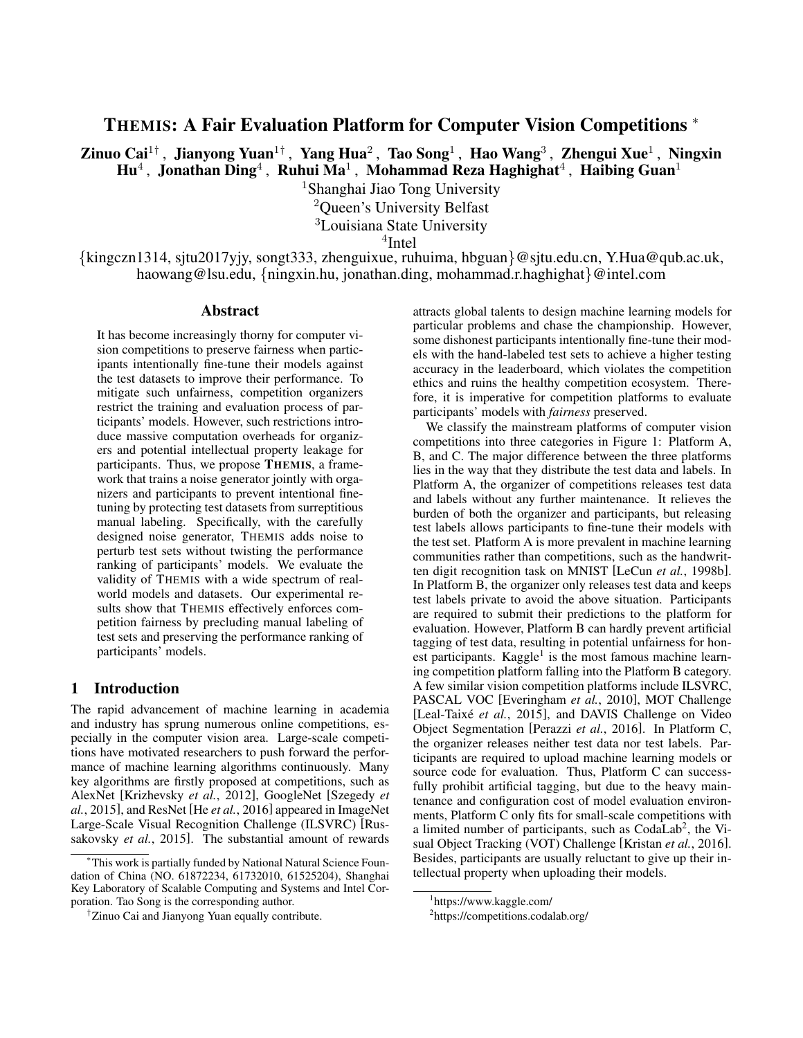# THEMIS: A Fair Evaluation Platform for Computer Vision Competitions <sup>∗</sup>

Zinuo Cai $^{1\dagger}$ , Jianyong Yuan $^{1\dagger}$ , Yang Hua $^2$ , Tao Song $^1$ , Hao Wang $^3$ , Zhengui Xue $^1$ , Ningxin  $\mathbf{H} \mathbf{u}^4$  , Jonathan Ding<sup>4</sup> , Ruhui Ma<sup>1</sup> , Mohammad Reza Haghighat<sup>4</sup> , Haibing Guan<sup>1</sup>

<sup>1</sup>Shanghai Jiao Tong University

<sup>2</sup>Queen's University Belfast

<sup>3</sup>Louisiana State University

4 Intel

{kingczn1314, sjtu2017yjy, songt333, zhenguixue, ruhuima, hbguan}@sjtu.edu.cn, Y.Hua@qub.ac.uk, haowang@lsu.edu, {ningxin.hu, jonathan.ding, mohammad.r.haghighat}@intel.com

#### Abstract

It has become increasingly thorny for computer vision competitions to preserve fairness when participants intentionally fine-tune their models against the test datasets to improve their performance. To mitigate such unfairness, competition organizers restrict the training and evaluation process of participants' models. However, such restrictions introduce massive computation overheads for organizers and potential intellectual property leakage for participants. Thus, we propose THEMIS, a framework that trains a noise generator jointly with organizers and participants to prevent intentional finetuning by protecting test datasets from surreptitious manual labeling. Specifically, with the carefully designed noise generator, THEMIS adds noise to perturb test sets without twisting the performance ranking of participants' models. We evaluate the validity of THEMIS with a wide spectrum of realworld models and datasets. Our experimental results show that THEMIS effectively enforces competition fairness by precluding manual labeling of test sets and preserving the performance ranking of participants' models.

## 1 Introduction

The rapid advancement of machine learning in academia and industry has sprung numerous online competitions, especially in the computer vision area. Large-scale competitions have motivated researchers to push forward the performance of machine learning algorithms continuously. Many key algorithms are firstly proposed at competitions, such as AlexNet [\[Krizhevsky](#page-6-0) *et al.*, 2012], GoogleNet [\[Szegedy](#page-6-1) *et al.*[, 2015\]](#page-6-1), and ResNet [He *et al.*[, 2016\]](#page-6-2) appeared in ImageNet Large-Scale Visual Recognition Challenge (ILSVRC) [\[Rus](#page-6-3)[sakovsky](#page-6-3) *et al.*, 2015]. The substantial amount of rewards attracts global talents to design machine learning models for particular problems and chase the championship. However, some dishonest participants intentionally fine-tune their models with the hand-labeled test sets to achieve a higher testing accuracy in the leaderboard, which violates the competition ethics and ruins the healthy competition ecosystem. Therefore, it is imperative for competition platforms to evaluate participants' models with *fairness* preserved.

We classify the mainstream platforms of computer vision competitions into three categories in Figure [1:](#page-1-0) Platform A, B, and C. The major difference between the three platforms lies in the way that they distribute the test data and labels. In Platform A, the organizer of competitions releases test data and labels without any further maintenance. It relieves the burden of both the organizer and participants, but releasing test labels allows participants to fine-tune their models with the test set. Platform A is more prevalent in machine learning communities rather than competitions, such as the handwritten digit recognition task on MNIST [LeCun *et al.*[, 1998b\]](#page-6-4). In Platform B, the organizer only releases test data and keeps test labels private to avoid the above situation. Participants are required to submit their predictions to the platform for evaluation. However, Platform B can hardly prevent artificial tagging of test data, resulting in potential unfairness for hon-est participants. Kaggle<sup>[1](#page-0-0)</sup> is the most famous machine learning competition platform falling into the Platform B category. A few similar vision competition platforms include ILSVRC, PASCAL VOC [\[Everingham](#page-6-5) *et al.*, 2010], MOT Challenge [Leal-Taixé et al., 2015], and DAVIS Challenge on Video Object Segmentation [\[Perazzi](#page-6-7) *et al.*, 2016]. In Platform C, the organizer releases neither test data nor test labels. Participants are required to upload machine learning models or source code for evaluation. Thus, Platform C can successfully prohibit artificial tagging, but due to the heavy maintenance and configuration cost of model evaluation environments, Platform C only fits for small-scale competitions with a limited number of participants, such as CodaLab<sup>[2](#page-0-1)</sup>, the Visual Object Tracking (VOT) Challenge [\[Kristan](#page-6-8) *et al.*, 2016]. Besides, participants are usually reluctant to give up their intellectual property when uploading their models.

<sup>∗</sup>This work is partially funded by National Natural Science Foundation of China (NO. 61872234, 61732010, 61525204), Shanghai Key Laboratory of Scalable Computing and Systems and Intel Corporation. Tao Song is the corresponding author.

<sup>†</sup>Zinuo Cai and Jianyong Yuan equally contribute.

<span id="page-0-0"></span><sup>1</sup> <https://www.kaggle.com/>

<span id="page-0-1"></span><sup>2</sup> <https://competitions.codalab.org/>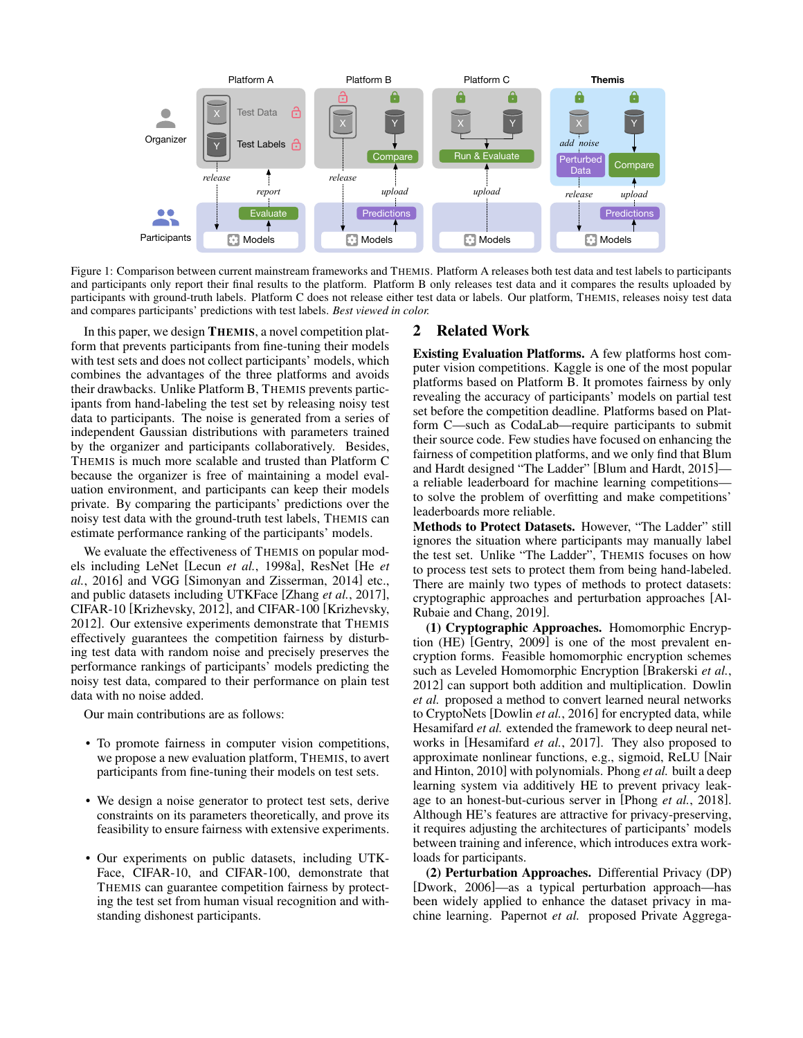<span id="page-1-0"></span>

Figure 1: Comparison between current mainstream frameworks and THEMIS. Platform A releases both test data and test labels to participants and participants only report their final results to the platform. Platform B only releases test data and it compares the results uploaded by participants with ground-truth labels. Platform C does not release either test data or labels. Our platform, THEMIS, releases noisy test data and compares participants' predictions with test labels. *Best viewed in color.*

In this paper, we design THEMIS, a novel competition platform that prevents participants from fine-tuning their models with test sets and does not collect participants' models, which combines the advantages of the three platforms and avoids their drawbacks. Unlike Platform B, THEMIS prevents participants from hand-labeling the test set by releasing noisy test data to participants. The noise is generated from a series of independent Gaussian distributions with parameters trained by the organizer and participants collaboratively. Besides, THEMIS is much more scalable and trusted than Platform C because the organizer is free of maintaining a model evaluation environment, and participants can keep their models private. By comparing the participants' predictions over the noisy test data with the ground-truth test labels, THEMIS can estimate performance ranking of the participants' models.

We evaluate the effectiveness of THEMIS on popular models including LeNet [Lecun *et al.*[, 1998a\]](#page-6-9), ResNet [\[He](#page-6-2) *et al.*[, 2016\]](#page-6-2) and VGG [\[Simonyan and Zisserman, 2014\]](#page-6-10) etc., and public datasets including UTKFace [\[Zhang](#page-6-11) *et al.*, 2017], CIFAR-10 [\[Krizhevsky, 2012\]](#page-6-12), and CIFAR-100 [\[Krizhevsky,](#page-6-12) [2012\]](#page-6-12). Our extensive experiments demonstrate that THEMIS effectively guarantees the competition fairness by disturbing test data with random noise and precisely preserves the performance rankings of participants' models predicting the noisy test data, compared to their performance on plain test data with no noise added.

Our main contributions are as follows:

- To promote fairness in computer vision competitions, we propose a new evaluation platform, THEMIS, to avert participants from fine-tuning their models on test sets.
- We design a noise generator to protect test sets, derive constraints on its parameters theoretically, and prove its feasibility to ensure fairness with extensive experiments.
- Our experiments on public datasets, including UTK-Face, CIFAR-10, and CIFAR-100, demonstrate that THEMIS can guarantee competition fairness by protecting the test set from human visual recognition and withstanding dishonest participants.

## 2 Related Work

Existing Evaluation Platforms. A few platforms host computer vision competitions. Kaggle is one of the most popular platforms based on Platform B. It promotes fairness by only revealing the accuracy of participants' models on partial test set before the competition deadline. Platforms based on Platform C—such as CodaLab—require participants to submit their source code. Few studies have focused on enhancing the fairness of competition platforms, and we only find that [Blum](#page-6-13) [and Hardt](#page-6-13) designed "The Ladder" [\[Blum and Hardt, 2015\]](#page-6-13) a reliable leaderboard for machine learning competitions to solve the problem of overfitting and make competitions' leaderboards more reliable.

Methods to Protect Datasets. However, "The Ladder" still ignores the situation where participants may manually label the test set. Unlike "The Ladder", THEMIS focuses on how to process test sets to protect them from being hand-labeled. There are mainly two types of methods to protect datasets: cryptographic approaches and perturbation approaches [\[Al-](#page-6-14)[Rubaie and Chang, 2019\]](#page-6-14).

(1) Cryptographic Approaches. Homomorphic Encryption (HE) [\[Gentry, 2009\]](#page-6-15) is one of the most prevalent encryption forms. Feasible homomorphic encryption schemes such as Leveled Homomorphic Encryption [\[Brakerski](#page-6-16) *et al.*, [2012\]](#page-6-16) can support both addition and multiplication. [Dowlin](#page-6-17) *[et al.](#page-6-17)* proposed a method to convert learned neural networks to CryptoNets [\[Dowlin](#page-6-17) *et al.*, 2016] for encrypted data, while [Hesamifard](#page-6-18) *et al.* extended the framework to deep neural networks in [\[Hesamifard](#page-6-18) *et al.*, 2017]. They also proposed to approximate nonlinear functions, e.g., sigmoid, ReLU [\[Nair](#page-6-19) [and Hinton, 2010\]](#page-6-19) with polynomials. [Phong](#page-6-20) *et al.* built a deep learning system via additively HE to prevent privacy leakage to an honest-but-curious server in [Phong *et al.*[, 2018\]](#page-6-20). Although HE's features are attractive for privacy-preserving, it requires adjusting the architectures of participants' models between training and inference, which introduces extra workloads for participants.

(2) Perturbation Approaches. Differential Privacy (DP) [\[Dwork, 2006\]](#page-6-21)—as a typical perturbation approach—has been widely applied to enhance the dataset privacy in machine learning. [Papernot](#page-6-22) *et al.* proposed Private Aggrega-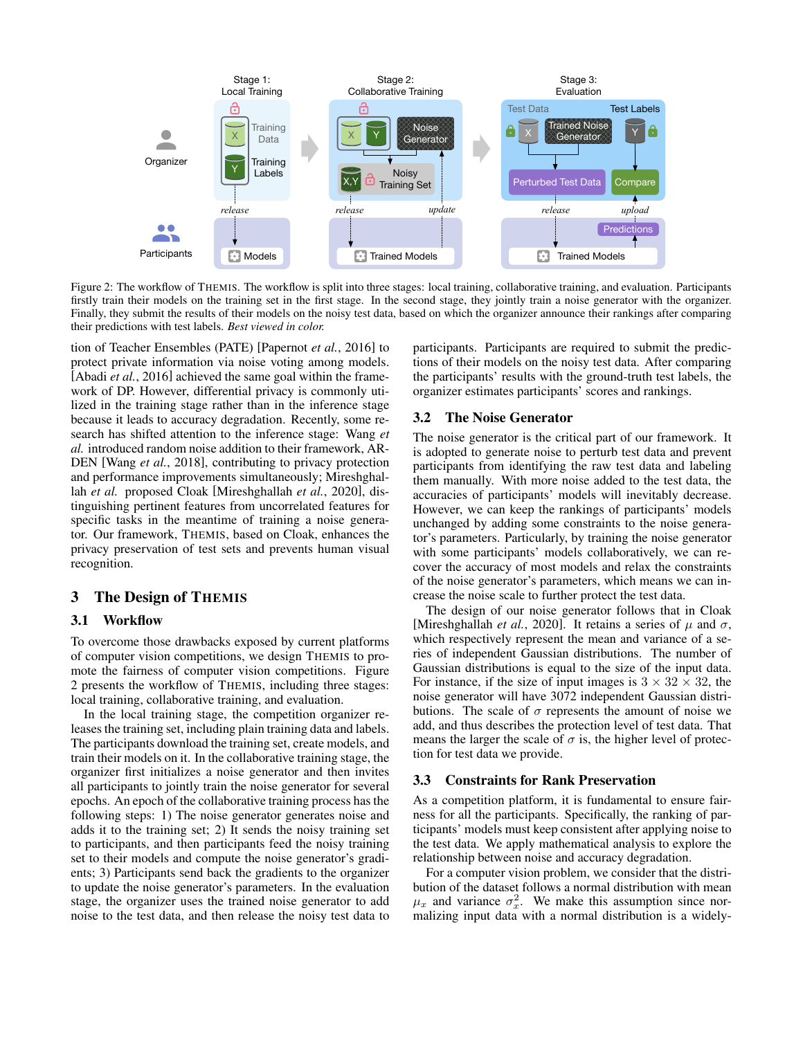<span id="page-2-0"></span>

Figure 2: The workflow of THEMIS. The workflow is split into three stages: local training, collaborative training, and evaluation. Participants firstly train their models on the training set in the first stage. In the second stage, they jointly train a noise generator with the organizer. Finally, they submit the results of their models on the noisy test data, based on which the organizer announce their rankings after comparing their predictions with test labels. *Best viewed in color.*

tion of Teacher Ensembles (PATE) [\[Papernot](#page-6-22) *et al.*, 2016] to protect private information via noise voting among models. [\[Abadi](#page-6-23) *et al.*, 2016] achieved the same goal within the framework of DP. However, differential privacy is commonly utilized in the training stage rather than in the inference stage because it leads to accuracy degradation. Recently, some research has shifted attention to the inference stage: [Wang](#page-6-24) *et [al.](#page-6-24)* introduced random noise addition to their framework, AR-DEN [Wang *et al.*[, 2018\]](#page-6-24), contributing to privacy protection and performance improvements simultaneously; [Mireshghal](#page-6-25)lah *[et al.](#page-6-25)* proposed Cloak [\[Mireshghallah](#page-6-25) *et al.*, 2020], distinguishing pertinent features from uncorrelated features for specific tasks in the meantime of training a noise generator. Our framework, THEMIS, based on Cloak, enhances the privacy preservation of test sets and prevents human visual recognition.

# 3 The Design of THEMIS

## <span id="page-2-1"></span>3.1 Workflow

To overcome those drawbacks exposed by current platforms of computer vision competitions, we design THEMIS to promote the fairness of computer vision competitions. Figure [2](#page-2-0) presents the workflow of THEMIS, including three stages: local training, collaborative training, and evaluation.

In the local training stage, the competition organizer releases the training set, including plain training data and labels. The participants download the training set, create models, and train their models on it. In the collaborative training stage, the organizer first initializes a noise generator and then invites all participants to jointly train the noise generator for several epochs. An epoch of the collaborative training process has the following steps: 1) The noise generator generates noise and adds it to the training set; 2) It sends the noisy training set to participants, and then participants feed the noisy training set to their models and compute the noise generator's gradients; 3) Participants send back the gradients to the organizer to update the noise generator's parameters. In the evaluation stage, the organizer uses the trained noise generator to add noise to the test data, and then release the noisy test data to participants. Participants are required to submit the predictions of their models on the noisy test data. After comparing the participants' results with the ground-truth test labels, the organizer estimates participants' scores and rankings.

#### 3.2 The Noise Generator

The noise generator is the critical part of our framework. It is adopted to generate noise to perturb test data and prevent participants from identifying the raw test data and labeling them manually. With more noise added to the test data, the accuracies of participants' models will inevitably decrease. However, we can keep the rankings of participants' models unchanged by adding some constraints to the noise generator's parameters. Particularly, by training the noise generator with some participants' models collaboratively, we can recover the accuracy of most models and relax the constraints of the noise generator's parameters, which means we can increase the noise scale to further protect the test data.

The design of our noise generator follows that in Cloak [\[Mireshghallah](#page-6-25) *et al.*, 2020]. It retains a series of  $\mu$  and  $\sigma$ , which respectively represent the mean and variance of a series of independent Gaussian distributions. The number of Gaussian distributions is equal to the size of the input data. For instance, if the size of input images is  $3 \times 32 \times 32$ , the noise generator will have 3072 independent Gaussian distributions. The scale of  $\sigma$  represents the amount of noise we add, and thus describes the protection level of test data. That means the larger the scale of  $\sigma$  is, the higher level of protection for test data we provide.

#### 3.3 Constraints for Rank Preservation

As a competition platform, it is fundamental to ensure fairness for all the participants. Specifically, the ranking of participants' models must keep consistent after applying noise to the test data. We apply mathematical analysis to explore the relationship between noise and accuracy degradation.

For a computer vision problem, we consider that the distribution of the dataset follows a normal distribution with mean  $\mu_x$  and variance  $\sigma_x^2$ . We make this assumption since normalizing input data with a normal distribution is a widely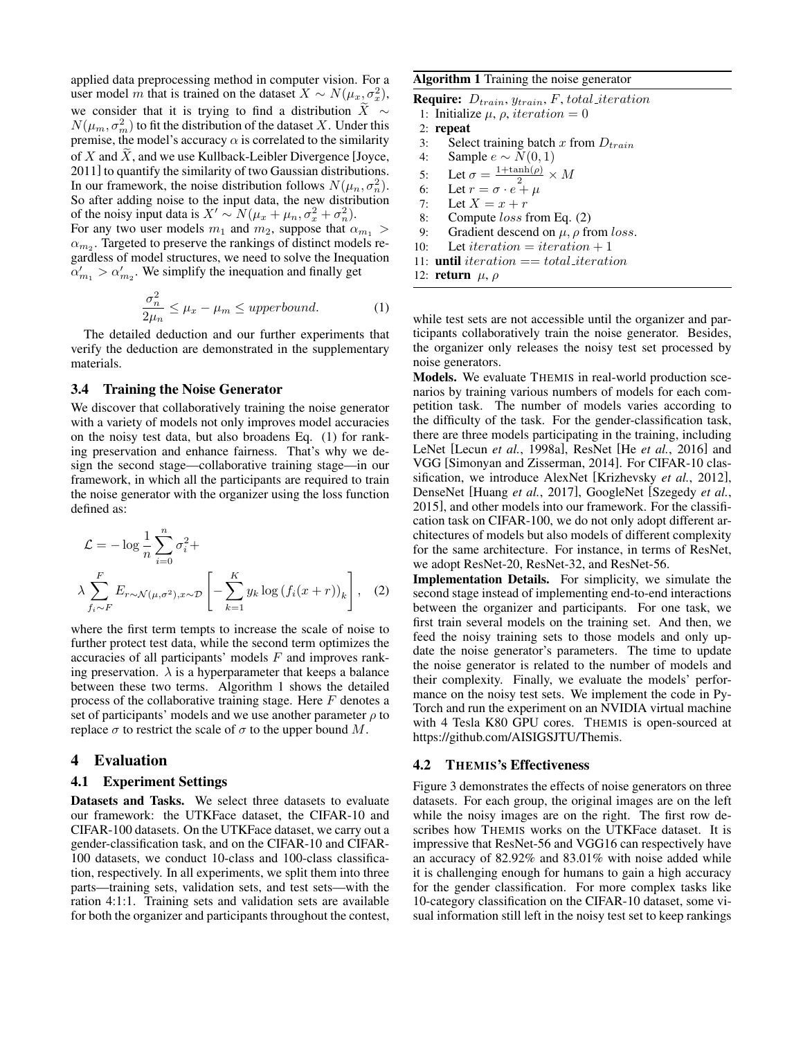applied data preprocessing method in computer vision. For a user model m that is trained on the dataset  $X \sim N(\mu_x, \sigma_x^2)$ , we consider that it is trying to find a distribution  $\widetilde{X} \sim$  $N(\mu_m, \sigma_m^2)$  to fit the distribution of the dataset X. Under this premise, the model's accuracy  $\alpha$  is correlated to the similarity of X and  $\overline{X}$ , and we use Kullback-Leibler Divergence [\[Joyce,](#page-6-26) [2011\]](#page-6-26) to quantify the similarity of two Gaussian distributions. In our framework, the noise distribution follows  $N(\mu_n, \sigma_n^2)$ . So after adding noise to the input data, the new distribution of the noisy input data is  $X' \sim N(\mu_x + \mu_n, \sigma_x^2 + \sigma_n^2)$ . For any two user models  $m_1$  and  $m_2$ , suppose that  $\alpha_{m_1} >$  $\alpha_{m_2}$ . Targeted to preserve the rankings of distinct models regardless of model structures, we need to solve the Inequation  $\alpha'_{m_1} > \alpha'_{m_2}$ . We simplify the inequation and finally get

$$
\frac{\sigma_n^2}{2\mu_n} \le \mu_x - \mu_m \le upperbound.
$$
 (1)

<span id="page-3-0"></span>The detailed deduction and our further experiments that verify the deduction are demonstrated in the supplementary materials.

#### 3.4 Training the Noise Generator

We discover that collaboratively training the noise generator with a variety of models not only improves model accuracies on the noisy test data, but also broadens Eq. [\(1\)](#page-3-0) for ranking preservation and enhance fairness. That's why we design the second stage—collaborative training stage—in our framework, in which all the participants are required to train the noise generator with the organizer using the loss function defined as:

$$
\mathcal{L} = -\log \frac{1}{n} \sum_{i=0}^{n} \sigma_i^2 + \lambda \sum_{f_i \sim F} E_{r \sim \mathcal{N}(\mu, \sigma^2), x \sim \mathcal{D}} \left[ -\sum_{k=1}^{K} y_k \log \left( f_i(x+r) \right)_k \right], \quad (2)
$$

where the first term tempts to increase the scale of noise to further protect test data, while the second term optimizes the accuracies of all participants' models F and improves ranking preservation.  $\lambda$  is a hyperparameter that keeps a balance between these two terms. Algorithm [1](#page-3-1) shows the detailed process of the collaborative training stage. Here  $F$  denotes a set of participants' models and we use another parameter  $\rho$  to replace  $\sigma$  to restrict the scale of  $\sigma$  to the upper bound M.

### 4 Evaluation

#### 4.1 Experiment Settings

Datasets and Tasks. We select three datasets to evaluate our framework: the UTKFace dataset, the CIFAR-10 and CIFAR-100 datasets. On the UTKFace dataset, we carry out a gender-classification task, and on the CIFAR-10 and CIFAR-100 datasets, we conduct 10-class and 100-class classification, respectively. In all experiments, we split them into three parts—training sets, validation sets, and test sets—with the ration 4:1:1. Training sets and validation sets are available for both the organizer and participants throughout the contest,

### <span id="page-3-1"></span>Algorithm 1 Training the noise generator

**Require:**  $D_{train}$ ,  $y_{train}$ ,  $F$ , total iteration

- 1: Initialize  $\mu$ ,  $\rho$ , *iteration* = 0
- 2: repeat
- 3: Select training batch x from  $D_{train}$ <br>4: Sample  $e \sim N(0, 1)$
- Sample  $e \sim N(0, 1)$
- 5: Let  $\sigma = \frac{1+\tanh(\rho)}{2} \times M$
- 6: Let  $v = \frac{2}{6}$ .
- 7: Let  $X = x + r$
- 8: Compute loss from Eq. [\(2\)](#page-3-2)
- 9: Gradient descend on  $\mu$ ,  $\rho$  from loss.
- 10: Let iteration  $= iteration + 1$
- 11: **until** iteration  $== total$  *iteration*
- 12: return  $\mu$ ,  $\rho$

while test sets are not accessible until the organizer and participants collaboratively train the noise generator. Besides, the organizer only releases the noisy test set processed by noise generators.

Models. We evaluate THEMIS in real-world production scenarios by training various numbers of models for each competition task. The number of models varies according to the difficulty of the task. For the gender-classification task, there are three models participating in the training, including LeNet [Lecun *et al.*[, 1998a\]](#page-6-9), ResNet [He *et al.*[, 2016\]](#page-6-2) and VGG [\[Simonyan and Zisserman, 2014\]](#page-6-10). For CIFAR-10 classification, we introduce AlexNet [\[Krizhevsky](#page-6-0) *et al.*, 2012], DenseNet [\[Huang](#page-6-27) *et al.*, 2017], GoogleNet [\[Szegedy](#page-6-1) *et al.*, [2015\]](#page-6-1), and other models into our framework. For the classification task on CIFAR-100, we do not only adopt different architectures of models but also models of different complexity for the same architecture. For instance, in terms of ResNet, we adopt ResNet-20, ResNet-32, and ResNet-56.

<span id="page-3-2"></span>Implementation Details. For simplicity, we simulate the second stage instead of implementing end-to-end interactions between the organizer and participants. For one task, we first train several models on the training set. And then, we feed the noisy training sets to those models and only update the noise generator's parameters. The time to update the noise generator is related to the number of models and their complexity. Finally, we evaluate the models' performance on the noisy test sets. We implement the code in Py-Torch and run the experiment on an NVIDIA virtual machine with 4 Tesla K80 GPU cores. THEMIS is open-sourced at [https://github.com/AISIGSJTU/Themis.](https://github.com/AISIGSJTU/Themis)

# 4.2 THEMIS's Effectiveness

Figure [3](#page-4-0) demonstrates the effects of noise generators on three datasets. For each group, the original images are on the left while the noisy images are on the right. The first row describes how THEMIS works on the UTKFace dataset. It is impressive that ResNet-56 and VGG16 can respectively have an accuracy of 82.92% and 83.01% with noise added while it is challenging enough for humans to gain a high accuracy for the gender classification. For more complex tasks like 10-category classification on the CIFAR-10 dataset, some visual information still left in the noisy test set to keep rankings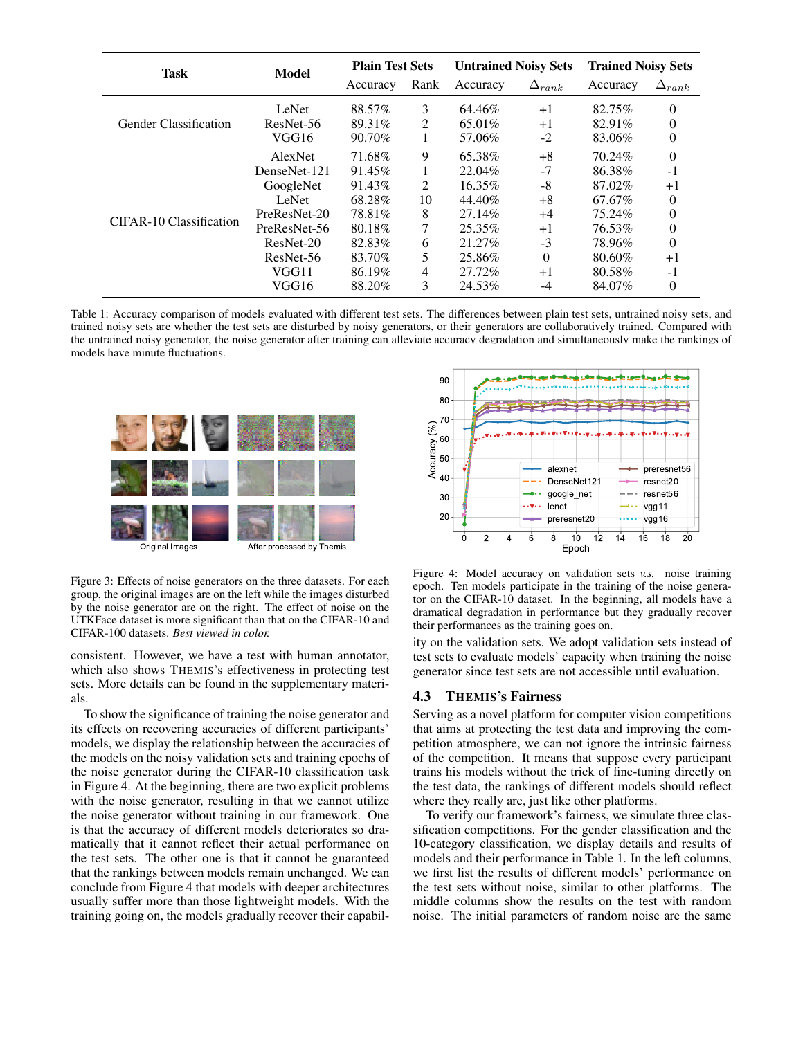<span id="page-4-2"></span>

| Task                         | Model        | <b>Plain Test Sets</b> |                | <b>Untrained Noisy Sets</b> |                 | <b>Trained Noisy Sets</b> |                 |
|------------------------------|--------------|------------------------|----------------|-----------------------------|-----------------|---------------------------|-----------------|
|                              |              | Accuracy               | Rank           | Accuracy                    | $\Delta_{rank}$ | Accuracy                  | $\Delta_{rank}$ |
| <b>Gender Classification</b> | LeNet        | 88.57%                 | 3              | 64.46%                      | $+1$            | 82.75%                    | $\theta$        |
|                              | ResNet-56    | 89.31%                 | 2              | 65.01\%                     | $+1$            | 82.91%                    | $\Omega$        |
|                              | VGG16        | 90.70%                 | 1              | 57.06%                      | $-2$            | 83.06%                    | $\theta$        |
| CIFAR-10 Classification      | AlexNet      | 71.68%                 | 9              | 65.38%                      | $+8$            | 70.24%                    | $\theta$        |
|                              | DenseNet-121 | 91.45%                 | 1              | 22.04%                      | $-7$            | 86.38%                    | $-1$            |
|                              | GoogleNet    | 91.43%                 | 2              | 16.35%                      | $-8$            | 87.02%                    | $+1$            |
|                              | LeNet        | 68.28%                 | 10             | 44.40%                      | $+8$            | 67.67%                    | $\Omega$        |
|                              | PreResNet-20 | 78.81%                 | 8              | 27.14%                      | $+4$            | 75.24%                    | $\theta$        |
|                              | PreResNet-56 | 80.18%                 | 7              | 25.35%                      | $+1$            | 76.53%                    | $\Omega$        |
|                              | ResNet-20    | 82.83%                 | 6              | 21.27%                      | $-3$            | 78.96%                    | $\Omega$        |
|                              | ResNet-56    | 83.70%                 | 5              | 25.86%                      | $\Omega$        | 80.60%                    | $+1$            |
|                              | VGG11        | 86.19%                 | $\overline{4}$ | 27.72%                      | $+1$            | 80.58%                    | $-1$            |
|                              | VGG16        | 88.20%                 | 3              | 24.53%                      | -4              | 84.07%                    | $\theta$        |

<span id="page-4-0"></span>Table 1: Accuracy comparison of models evaluated with different test sets. The differences between plain test sets, untrained noisy sets, and trained noisy sets are whether the test sets are disturbed by noisy generators, or their generators are collaboratively trained. Compared with the untrained noisy generator, the noise generator after training can alleviate accuracy degradation and simultaneously make the rankings of models have minute fluctuations.



Figure 3: Effects of noise generators on the three datasets. For each group, the original images are on the left while the images disturbed by the noise generator are on the right. The effect of noise on the UTKFace dataset is more significant than that on the CIFAR-10 and CIFAR-100 datasets. *Best viewed in color.*

consistent. However, we have a test with human annotator, which also shows THEMIS's effectiveness in protecting test sets. More details can be found in the supplementary materials.

To show the significance of training the noise generator and its effects on recovering accuracies of different participants' models, we display the relationship between the accuracies of the models on the noisy validation sets and training epochs of the noise generator during the CIFAR-10 classification task in Figure [4.](#page-4-1) At the beginning, there are two explicit problems with the noise generator, resulting in that we cannot utilize the noise generator without training in our framework. One is that the accuracy of different models deteriorates so dramatically that it cannot reflect their actual performance on the test sets. The other one is that it cannot be guaranteed that the rankings between models remain unchanged. We can conclude from Figure [4](#page-4-1) that models with deeper architectures usually suffer more than those lightweight models. With the training going on, the models gradually recover their capabil-

<span id="page-4-1"></span>

Figure 4: Model accuracy on validation sets *v.s.* noise training epoch. Ten models participate in the training of the noise generator on the CIFAR-10 dataset. In the beginning, all models have a dramatical degradation in performance but they gradually recover their performances as the training goes on.

ity on the validation sets. We adopt validation sets instead of test sets to evaluate models' capacity when training the noise generator since test sets are not accessible until evaluation.

## 4.3 THEMIS's Fairness

Serving as a novel platform for computer vision competitions that aims at protecting the test data and improving the competition atmosphere, we can not ignore the intrinsic fairness of the competition. It means that suppose every participant trains his models without the trick of fine-tuning directly on the test data, the rankings of different models should reflect where they really are, just like other platforms.

To verify our framework's fairness, we simulate three classification competitions. For the gender classification and the 10-category classification, we display details and results of models and their performance in Table [1.](#page-4-2) In the left columns, we first list the results of different models' performance on the test sets without noise, similar to other platforms. The middle columns show the results on the test with random noise. The initial parameters of random noise are the same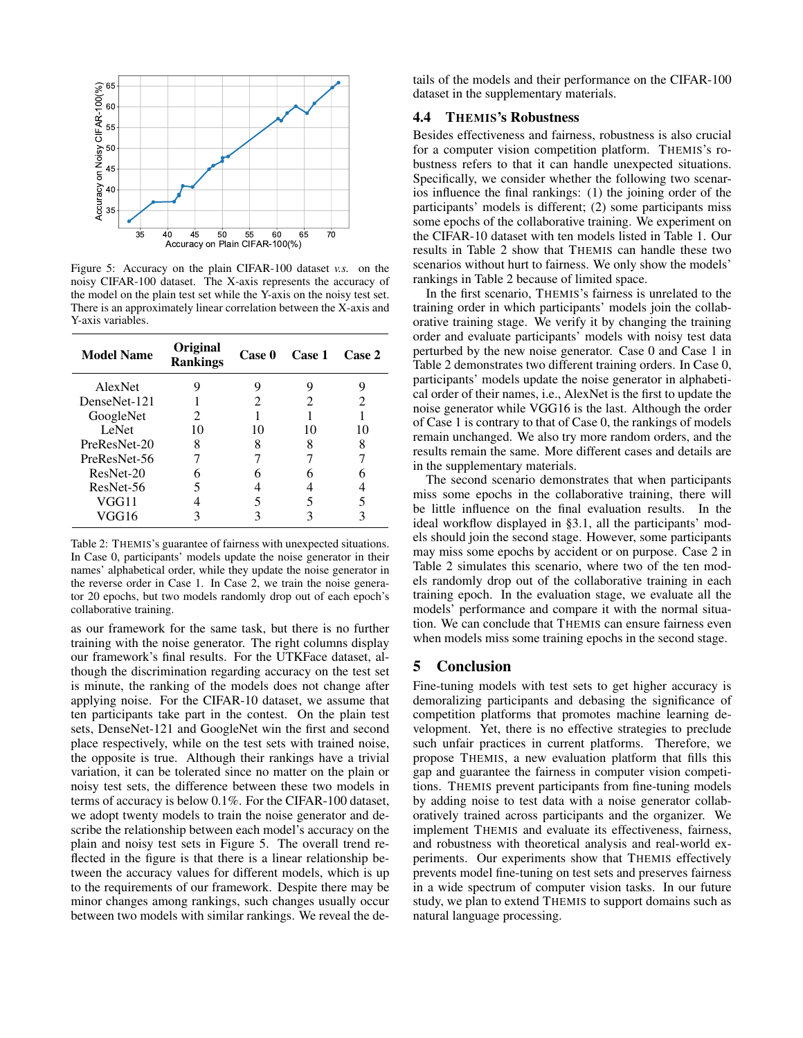<span id="page-5-0"></span>

Figure 5: Accuracy on the plain CIFAR-100 dataset *v.s.* on the noisy CIFAR-100 dataset. The X-axis represents the accuracy of the model on the plain test set while the Y-axis on the noisy test set. There is an approximately linear correlation between the X-axis and Y-axis variables.

<span id="page-5-1"></span>

| <b>Model Name</b> | Original<br><b>Rankings</b> | Case 0 | Case 1                      | Case 2                      |
|-------------------|-----------------------------|--------|-----------------------------|-----------------------------|
| AlexNet           | 9                           |        | 9                           | 9                           |
| DenseNet-121      |                             | 2.     | $\mathcal{D}_{\mathcal{L}}$ | $\mathcal{D}_{\mathcal{L}}$ |
| GoogleNet         | 2                           |        |                             |                             |
| <b>LeNet</b>      | 10                          | 10     | 10                          | 10                          |
| PreResNet-20      | 8                           | 8      |                             | 8                           |
| PreResNet-56      |                             |        |                             |                             |
| ResNet-20         |                             |        |                             |                             |
| ResNet-56         |                             |        |                             |                             |
| VGG11             |                             |        |                             |                             |
| VGG16             |                             |        |                             |                             |

Table 2: THEMIS's guarantee of fairness with unexpected situations. In Case 0, participants' models update the noise generator in their names' alphabetical order, while they update the noise generator in the reverse order in Case 1. In Case 2, we train the noise generator 20 epochs, but two models randomly drop out of each epoch's collaborative training.

as our framework for the same task, but there is no further training with the noise generator. The right columns display our framework's final results. For the UTKFace dataset, although the discrimination regarding accuracy on the test set is minute, the ranking of the models does not change after applying noise. For the CIFAR-10 dataset, we assume that ten participants take part in the contest. On the plain test sets, DenseNet-121 and GoogleNet win the first and second place respectively, while on the test sets with trained noise, the opposite is true. Although their rankings have a trivial variation, it can be tolerated since no matter on the plain or noisy test sets, the difference between these two models in terms of accuracy is below 0.1%. For the CIFAR-100 dataset, we adopt twenty models to train the noise generator and describe the relationship between each model's accuracy on the plain and noisy test sets in Figure [5.](#page-5-0) The overall trend reflected in the figure is that there is a linear relationship between the accuracy values for different models, which is up to the requirements of our framework. Despite there may be minor changes among rankings, such changes usually occur between two models with similar rankings. We reveal the details of the models and their performance on the CIFAR-100 dataset in the supplementary materials.

## 4.4 THEMIS's Robustness

Besides effectiveness and fairness, robustness is also crucial for a computer vision competition platform. THEMIS's robustness refers to that it can handle unexpected situations. Specifically, we consider whether the following two scenarios influence the final rankings: (1) the joining order of the participants' models is different; (2) some participants miss some epochs of the collaborative training. We experiment on the CIFAR-10 dataset with ten models listed in Table [1.](#page-4-2) Our results in Table [2](#page-5-1) show that THEMIS can handle these two scenarios without hurt to fairness. We only show the models' rankings in Table [2](#page-5-1) because of limited space.

In the first scenario, THEMIS's fairness is unrelated to the training order in which participants' models join the collaborative training stage. We verify it by changing the training order and evaluate participants' models with noisy test data perturbed by the new noise generator. Case 0 and Case 1 in Table [2](#page-5-1) demonstrates two different training orders. In Case 0, participants' models update the noise generator in alphabetical order of their names, i.e., AlexNet is the first to update the noise generator while VGG16 is the last. Although the order of Case 1 is contrary to that of Case 0, the rankings of models remain unchanged. We also try more random orders, and the results remain the same. More different cases and details are in the supplementary materials.

The second scenario demonstrates that when participants miss some epochs in the collaborative training, there will be little influence on the final evaluation results. In the ideal workflow displayed in [§3.1,](#page-2-1) all the participants' models should join the second stage. However, some participants may miss some epochs by accident or on purpose. Case 2 in Table [2](#page-5-1) simulates this scenario, where two of the ten models randomly drop out of the collaborative training in each training epoch. In the evaluation stage, we evaluate all the models' performance and compare it with the normal situation. We can conclude that THEMIS can ensure fairness even when models miss some training epochs in the second stage.

# 5 Conclusion

Fine-tuning models with test sets to get higher accuracy is demoralizing participants and debasing the significance of competition platforms that promotes machine learning development. Yet, there is no effective strategies to preclude such unfair practices in current platforms. Therefore, we propose THEMIS, a new evaluation platform that fills this gap and guarantee the fairness in computer vision competitions. THEMIS prevent participants from fine-tuning models by adding noise to test data with a noise generator collaboratively trained across participants and the organizer. We implement THEMIS and evaluate its effectiveness, fairness, and robustness with theoretical analysis and real-world experiments. Our experiments show that THEMIS effectively prevents model fine-tuning on test sets and preserves fairness in a wide spectrum of computer vision tasks. In our future study, we plan to extend THEMIS to support domains such as natural language processing.